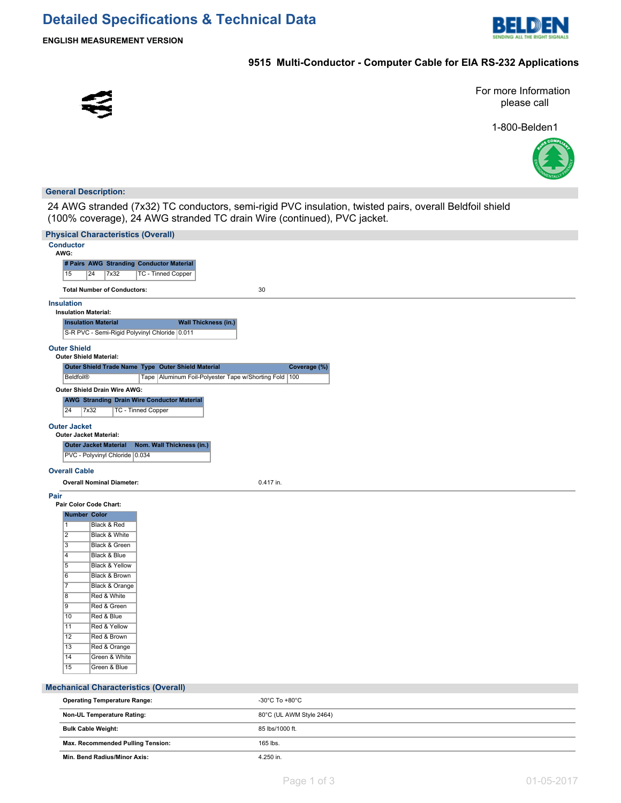

#### **9515 Multi-Conductor - Computer Cable for EIA RS-232 Applications**



For more Information please call

1-800-Belden1



#### **General Description:**

24 AWG stranded (7x32) TC conductors, semi-rigid PVC insulation, twisted pairs, overall Beldfoil shield (100% coverage), 24 AWG stranded TC drain Wire (continued), PVC jacket.

| <b>Physical Characteristics (Overall)</b>                                                                  |                          |
|------------------------------------------------------------------------------------------------------------|--------------------------|
| <b>Conductor</b>                                                                                           |                          |
| AWG:                                                                                                       |                          |
| # Pairs AWG Stranding Conductor Material                                                                   |                          |
| TC - Tinned Copper<br>15<br>24<br>7x32                                                                     |                          |
|                                                                                                            | 30                       |
| <b>Total Number of Conductors:</b>                                                                         |                          |
| <b>Insulation</b>                                                                                          |                          |
| <b>Insulation Material:</b>                                                                                |                          |
| <b>Insulation Material</b><br><b>Wall Thickness (in.)</b><br>S-R PVC - Semi-Rigid Polyvinyl Chloride 0.011 |                          |
| <b>Outer Shield</b>                                                                                        |                          |
| <b>Outer Shield Material:</b>                                                                              |                          |
| Outer Shield Trade Name Type Outer Shield Material                                                         | Coverage (%)             |
| Beldfoil®<br>Tape   Aluminum Foil-Polyester Tape w/Shorting Fold   100                                     |                          |
| Outer Shield Drain Wire AWG:                                                                               |                          |
| <b>AWG Stranding Drain Wire Conductor Material</b>                                                         |                          |
| 24<br>7x32<br><b>TC - Tinned Copper</b>                                                                    |                          |
| <b>Outer Jacket</b>                                                                                        |                          |
| <b>Outer Jacket Material:</b>                                                                              |                          |
| <b>Outer Jacket Material</b><br>Nom. Wall Thickness (in.)                                                  |                          |
| PVC - Polyvinyl Chloride 0.034                                                                             |                          |
| <b>Overall Cable</b>                                                                                       |                          |
|                                                                                                            |                          |
| <b>Overall Nominal Diameter:</b>                                                                           | 0.417 in.                |
| Pair                                                                                                       |                          |
| Pair Color Code Chart:<br><b>Number Color</b>                                                              |                          |
| $\mathbf{1}$<br>Black & Red                                                                                |                          |
| $\overline{2}$<br>Black & White                                                                            |                          |
| $\overline{\overline{3}}$<br><b>Black &amp; Green</b>                                                      |                          |
| $\overline{4}$<br>Black & Blue                                                                             |                          |
| $\overline{5}$<br><b>Black &amp; Yellow</b>                                                                |                          |
| 6<br>Black & Brown                                                                                         |                          |
| Black & Orange<br>$\overline{7}$                                                                           |                          |
| Red & White<br>$\overline{8}$                                                                              |                          |
| $\overline{9}$<br>Red & Green                                                                              |                          |
| 10<br>Red & Blue                                                                                           |                          |
| $\overline{11}$<br>Red & Yellow<br>$\overline{12}$<br>Red & Brown                                          |                          |
| $\overline{13}$<br>Red & Orange                                                                            |                          |
| $\overline{14}$<br>Green & White                                                                           |                          |
| 15<br>Green & Blue                                                                                         |                          |
|                                                                                                            |                          |
| <b>Mechanical Characteristics (Overall)</b>                                                                |                          |
| <b>Operating Temperature Range:</b>                                                                        | -30°C To +80°C           |
| Non-UL Temperature Rating:                                                                                 | 80°C (UL AWM Style 2464) |
| <b>Bulk Cable Weight:</b>                                                                                  | 85 lbs/1000 ft.          |
| Max. Recommended Pulling Tension:                                                                          | 165 lbs.                 |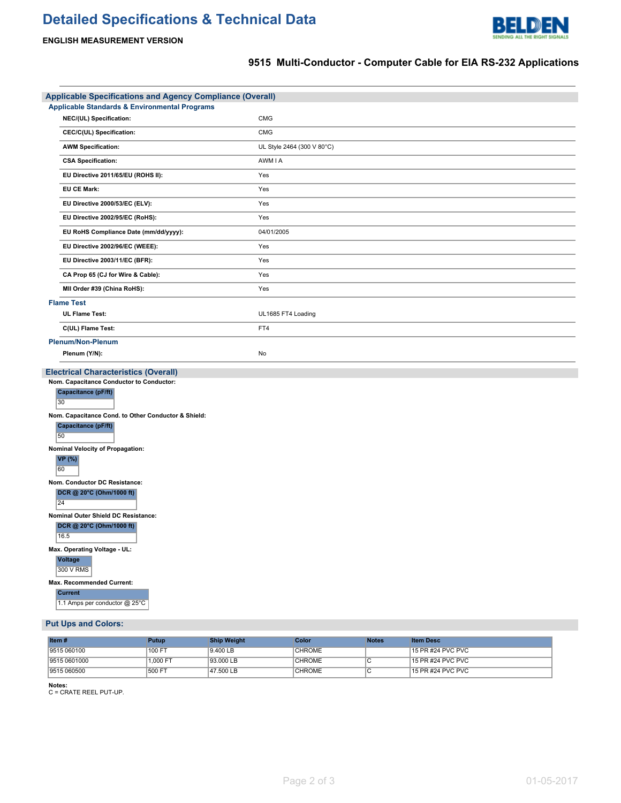# **Detailed Specifications & Technical Data**



### **ENGLISH MEASUREMENT VERSION**

## **9515 Multi-Conductor - Computer Cable for EIA RS-232 Applications**

| <b>Applicable Specifications and Agency Compliance (Overall)</b>                                                                                                                                                                                                                                       |                            |  |  |
|--------------------------------------------------------------------------------------------------------------------------------------------------------------------------------------------------------------------------------------------------------------------------------------------------------|----------------------------|--|--|
| <b>Applicable Standards &amp; Environmental Programs</b>                                                                                                                                                                                                                                               |                            |  |  |
| NEC/(UL) Specification:                                                                                                                                                                                                                                                                                | <b>CMG</b>                 |  |  |
| CEC/C(UL) Specification:                                                                                                                                                                                                                                                                               | <b>CMG</b>                 |  |  |
| <b>AWM Specification:</b>                                                                                                                                                                                                                                                                              | UL Style 2464 (300 V 80°C) |  |  |
| <b>CSA Specification:</b>                                                                                                                                                                                                                                                                              | AWM I A                    |  |  |
| EU Directive 2011/65/EU (ROHS II):                                                                                                                                                                                                                                                                     | Yes                        |  |  |
| <b>EU CE Mark:</b>                                                                                                                                                                                                                                                                                     | Yes                        |  |  |
| EU Directive 2000/53/EC (ELV):                                                                                                                                                                                                                                                                         | Yes                        |  |  |
| EU Directive 2002/95/EC (RoHS):                                                                                                                                                                                                                                                                        | Yes                        |  |  |
| EU RoHS Compliance Date (mm/dd/yyyy):                                                                                                                                                                                                                                                                  | 04/01/2005                 |  |  |
| EU Directive 2002/96/EC (WEEE):                                                                                                                                                                                                                                                                        | Yes                        |  |  |
| EU Directive 2003/11/EC (BFR):                                                                                                                                                                                                                                                                         | Yes                        |  |  |
| CA Prop 65 (CJ for Wire & Cable):                                                                                                                                                                                                                                                                      | Yes                        |  |  |
| MII Order #39 (China RoHS):                                                                                                                                                                                                                                                                            | Yes                        |  |  |
| <b>Flame Test</b>                                                                                                                                                                                                                                                                                      |                            |  |  |
| <b>UL Flame Test:</b>                                                                                                                                                                                                                                                                                  | UL1685 FT4 Loading         |  |  |
| C(UL) Flame Test:                                                                                                                                                                                                                                                                                      | FT4                        |  |  |
| <b>Plenum/Non-Plenum</b>                                                                                                                                                                                                                                                                               |                            |  |  |
| Plenum (Y/N):                                                                                                                                                                                                                                                                                          | No                         |  |  |
| <b>Electrical Characteristics (Overall)</b><br>Nom. Capacitance Conductor to Conductor:<br>Capacitance (pF/ft)<br>30<br>Nom. Capacitance Cond. to Other Conductor & Shield:<br>Capacitance (pF/ft)<br>50<br>Nominal Velocity of Propagation:<br><b>VP</b> (%)                                          |                            |  |  |
| 60<br>Nom. Conductor DC Resistance:<br>DCR @ 20°C (Ohm/1000 ft)<br>24<br>Nominal Outer Shield DC Resistance:<br>DCR @ 20°C (Ohm/1000 ft)<br>16.5<br>Max. Operating Voltage - UL:<br><b>Voltage</b><br>300 V RMS<br><b>Max. Recommended Current:</b><br><b>Current</b><br>1.1 Amps per conductor @ 25°C |                            |  |  |
| <b>Put Ups and Colors:</b>                                                                                                                                                                                                                                                                             |                            |  |  |

| Item $#$     | Putup    | <b>Ship Weight</b> | Color         | <b>Notes</b> | <b>Item Desc</b>  |
|--------------|----------|--------------------|---------------|--------------|-------------------|
| 9515 060100  | 100 FT   | 9.400 LB           | <b>CHROME</b> |              | 15 PR #24 PVC PVC |
| 9515 0601000 | 1.000 FT | 93,000 LB          | <b>CHROME</b> |              | 15 PR #24 PVC PVC |
| 9515 060500  | 1500 FT  | 47.500 LB          | <b>CHROME</b> |              | 15 PR #24 PVC PVC |

**Notes:** C = CRATE REEL PUT-UP.